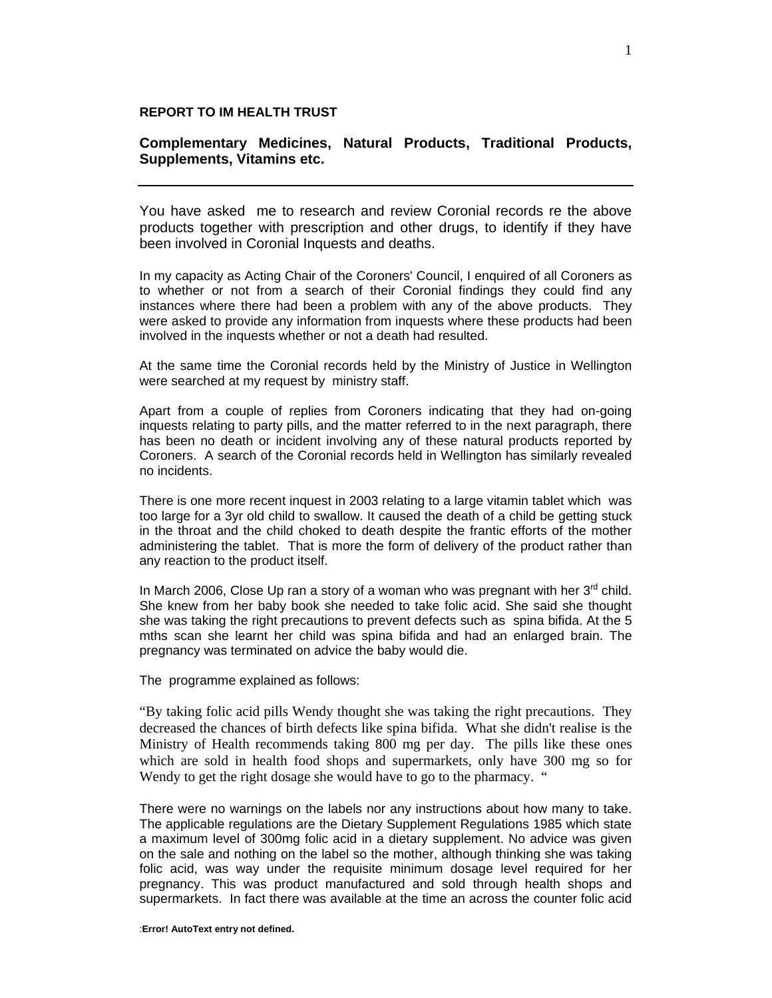## **REPORT TO IM HEALTH TRUST**

## **Complementary Medicines, Natural Products, Traditional Products, Supplements, Vitamins etc.**

You have asked me to research and review Coronial records re the above products together with prescription and other drugs, to identify if they have been involved in Coronial Inquests and deaths.

In my capacity as Acting Chair of the Coroners' Council, I enquired of all Coroners as to whether or not from a search of their Coronial findings they could find any instances where there had been a problem with any of the above products. They were asked to provide any information from inquests where these products had been involved in the inquests whether or not a death had resulted.

At the same time the Coronial records held by the Ministry of Justice in Wellington were searched at my request by ministry staff.

Apart from a couple of replies from Coroners indicating that they had on-going inquests relating to party pills, and the matter referred to in the next paragraph, there has been no death or incident involving any of these natural products reported by Coroners. A search of the Coronial records held in Wellington has similarly revealed no incidents.

There is one more recent inquest in 2003 relating to a large vitamin tablet which was too large for a 3yr old child to swallow. It caused the death of a child be getting stuck in the throat and the child choked to death despite the frantic efforts of the mother administering the tablet. That is more the form of delivery of the product rather than any reaction to the product itself.

In March 2006, Close Up ran a story of a woman who was pregnant with her  $3<sup>rd</sup>$  child. She knew from her baby book she needed to take folic acid. She said she thought she was taking the right precautions to prevent defects such as spina bifida. At the 5 mths scan she learnt her child was spina bifida and had an enlarged brain. The pregnancy was terminated on advice the baby would die.

The programme explained as follows:

"By taking folic acid pills Wendy thought she was taking the right precautions. They decreased the chances of birth defects like spina bifida. What she didn't realise is the Ministry of Health recommends taking 800 mg per day. The pills like these ones which are sold in health food shops and supermarkets, only have 300 mg so for Wendy to get the right dosage she would have to go to the pharmacy. "

There were no warnings on the labels nor any instructions about how many to take. The applicable regulations are the Dietary Supplement Regulations 1985 which state a maximum level of 300mg folic acid in a dietary supplement. No advice was given on the sale and nothing on the label so the mother, although thinking she was taking folic acid, was way under the requisite minimum dosage level required for her pregnancy. This was product manufactured and sold through health shops and supermarkets. In fact there was available at the time an across the counter folic acid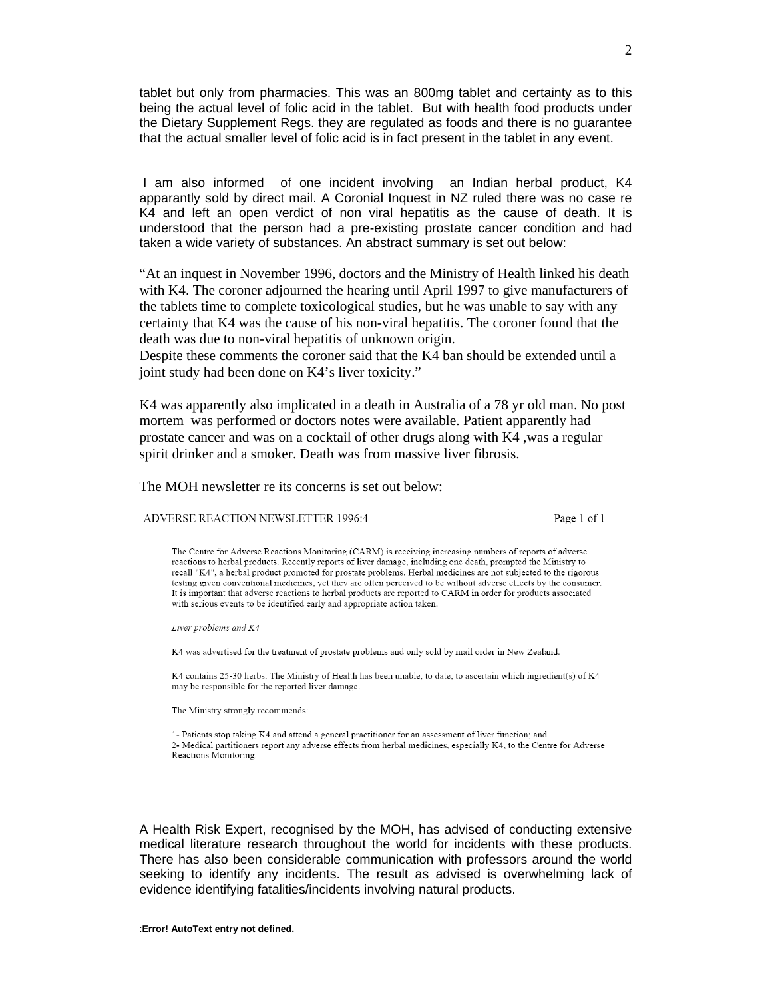tablet but only from pharmacies. This was an 800mg tablet and certainty as to this being the actual level of folic acid in the tablet. But with health food products under the Dietary Supplement Regs. they are regulated as foods and there is no guarantee that the actual smaller level of folic acid is in fact present in the tablet in any event.

 I am also informed of one incident involving an Indian herbal product, K4 apparantly sold by direct mail. A Coronial Inquest in NZ ruled there was no case re K4 and left an open verdict of non viral hepatitis as the cause of death. It is understood that the person had a pre-existing prostate cancer condition and had taken a wide variety of substances. An abstract summary is set out below:

"At an inquest in November 1996, doctors and the Ministry of Health linked his death with K4. The coroner adjourned the hearing until April 1997 to give manufacturers of the tablets time to complete toxicological studies, but he was unable to say with any certainty that K4 was the cause of his non-viral hepatitis. The coroner found that the death was due to non-viral hepatitis of unknown origin.

Despite these comments the coroner said that the K4 ban should be extended until a joint study had been done on K4's liver toxicity."

K4 was apparently also implicated in a death in Australia of a 78 yr old man. No post mortem was performed or doctors notes were available. Patient apparently had prostate cancer and was on a cocktail of other drugs along with K4 ,was a regular spirit drinker and a smoker. Death was from massive liver fibrosis.

The MOH newsletter re its concerns is set out below:

ADVERSE REACTION NEWSLETTER 1996:4

Page 1 of 1

The Centre for Adverse Reactions Monitoring (CARM) is receiving increasing numbers of reports of adverse reactions to herbal products. Recently reports of liver damage, including one death, prompted the Ministry to recall "K4", a herbal product promoted for prostate problems. Herbal medicines are not subjected to the rigorous testing given conventional medicines, yet they are often perceived to be without adverse effects by the consumer. It is important that adverse reactions to herbal products are reported to CARM in order for products associated with serious events to be identified early and appropriate action taken.

Liver problems and K4

K4 was advertised for the treatment of prostate problems and only sold by mail order in New Zealand.

K4 contains 25-30 herbs. The Ministry of Health has been unable, to date, to ascertain which ingredient(s) of K4 may be responsible for the reported liver damage.

The Ministry strongly recommends:

1- Patients stop taking K4 and attend a general practitioner for an assessment of liver function; and 2- Medical partitioners report any adverse effects from herbal medicines, especially K4, to the Centre for Adverse Reactions Monitoring.

A Health Risk Expert, recognised by the MOH, has advised of conducting extensive medical literature research throughout the world for incidents with these products. There has also been considerable communication with professors around the world seeking to identify any incidents. The result as advised is overwhelming lack of evidence identifying fatalities/incidents involving natural products.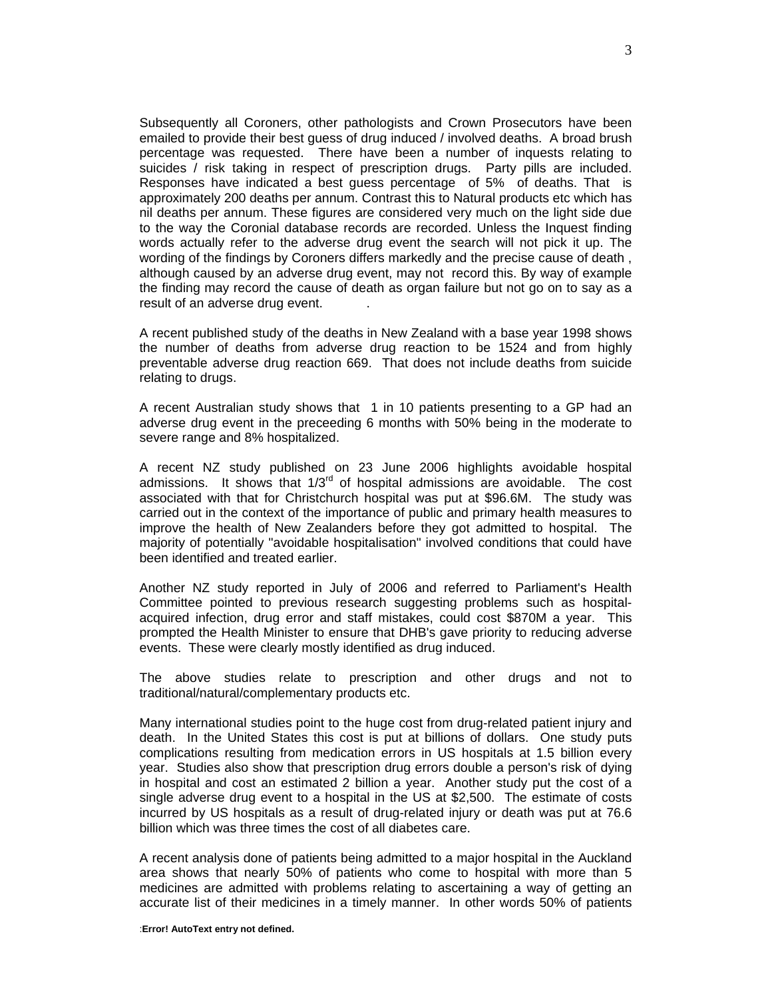Subsequently all Coroners, other pathologists and Crown Prosecutors have been emailed to provide their best guess of drug induced / involved deaths. A broad brush percentage was requested. There have been a number of inquests relating to suicides / risk taking in respect of prescription drugs. Party pills are included. Responses have indicated a best guess percentage of 5% of deaths. That is approximately 200 deaths per annum. Contrast this to Natural products etc which has nil deaths per annum. These figures are considered very much on the light side due to the way the Coronial database records are recorded. Unless the Inquest finding words actually refer to the adverse drug event the search will not pick it up. The wording of the findings by Coroners differs markedly and the precise cause of death , although caused by an adverse drug event, may not record this. By way of example the finding may record the cause of death as organ failure but not go on to say as a result of an adverse drug event.

A recent published study of the deaths in New Zealand with a base year 1998 shows the number of deaths from adverse drug reaction to be 1524 and from highly preventable adverse drug reaction 669. That does not include deaths from suicide relating to drugs.

A recent Australian study shows that 1 in 10 patients presenting to a GP had an adverse drug event in the preceeding 6 months with 50% being in the moderate to severe range and 8% hospitalized.

A recent NZ study published on 23 June 2006 highlights avoidable hospital admissions. It shows that  $1/3^{rd}$  of hospital admissions are avoidable. The cost associated with that for Christchurch hospital was put at \$96.6M. The study was carried out in the context of the importance of public and primary health measures to improve the health of New Zealanders before they got admitted to hospital. The majority of potentially "avoidable hospitalisation" involved conditions that could have been identified and treated earlier.

Another NZ study reported in July of 2006 and referred to Parliament's Health Committee pointed to previous research suggesting problems such as hospitalacquired infection, drug error and staff mistakes, could cost \$870M a year. This prompted the Health Minister to ensure that DHB's gave priority to reducing adverse events. These were clearly mostly identified as drug induced.

The above studies relate to prescription and other drugs and not to traditional/natural/complementary products etc.

Many international studies point to the huge cost from drug-related patient injury and death. In the United States this cost is put at billions of dollars. One study puts complications resulting from medication errors in US hospitals at 1.5 billion every year. Studies also show that prescription drug errors double a person's risk of dying in hospital and cost an estimated 2 billion a year. Another study put the cost of a single adverse drug event to a hospital in the US at \$2,500. The estimate of costs incurred by US hospitals as a result of drug-related injury or death was put at 76.6 billion which was three times the cost of all diabetes care.

A recent analysis done of patients being admitted to a major hospital in the Auckland area shows that nearly 50% of patients who come to hospital with more than 5 medicines are admitted with problems relating to ascertaining a way of getting an accurate list of their medicines in a timely manner. In other words 50% of patients